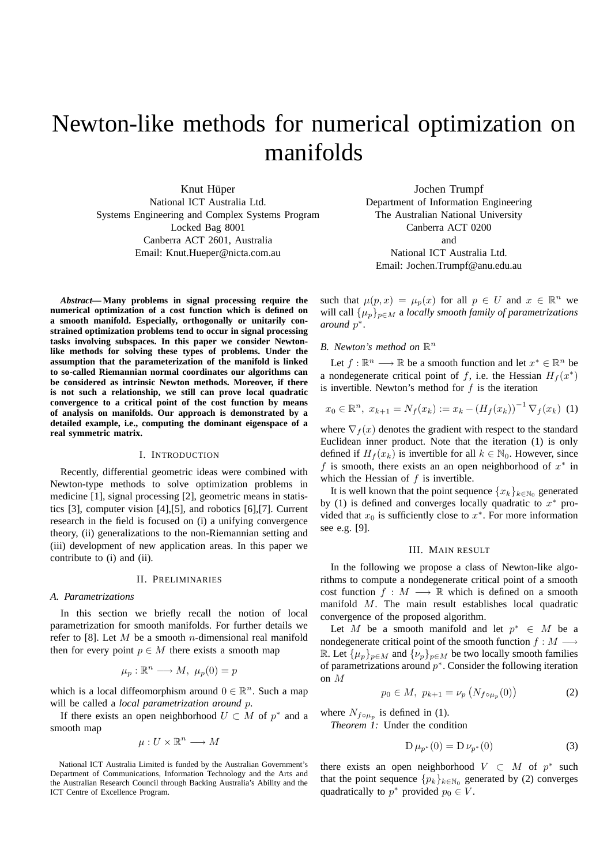# Newton-like methods for numerical optimization on manifolds

Knut Hüper National ICT Australia Ltd. Systems Engineering and Complex Systems Program Locked Bag 8001 Canberra ACT 2601, Australia Email: Knut.Hueper@nicta.com.au

Jochen Trumpf Department of Information Engineering The Australian National University Canberra ACT 0200 and National ICT Australia Ltd.

Email: Jochen.Trumpf@anu.edu.au

*Abstract***—Many problems in signal processing require the numerical optimization of a cost function which is defined on a smooth manifold. Especially, orthogonally or unitarily constrained optimization problems tend to occur in signal processing tasks involving subspaces. In this paper we consider Newtonlike methods for solving these types of problems. Under the assumption that the parameterization of the manifold is linked to so-called Riemannian normal coordinates our algorithms can be considered as intrinsic Newton methods. Moreover, if there is not such a relationship, we still can prove local quadratic convergence to a critical point of the cost function by means of analysis on manifolds. Our approach is demonstrated by a detailed example, i.e., computing the dominant eigenspace of a real symmetric matrix.**

#### I. INTRODUCTION

Recently, differential geometric ideas were combined with Newton-type methods to solve optimization problems in medicine [1], signal processing [2], geometric means in statistics [3], computer vision [4],[5], and robotics [6],[7]. Current research in the field is focused on (i) a unifying convergence theory, (ii) generalizations to the non-Riemannian setting and (iii) development of new application areas. In this paper we contribute to (i) and (ii).

## II. PRELIMINARIES

#### *A. Parametrizations*

In this section we briefly recall the notion of local parametrization for smooth manifolds. For further details we refer to [8]. Let  $M$  be a smooth *n*-dimensional real manifold then for every point  $p \in M$  there exists a smooth map

$$
\mu_p : \mathbb{R}^n \longrightarrow M, \ \mu_p(0) = p
$$

which is a local diffeomorphism around  $0 \in \mathbb{R}^n$ . Such a map will be called a *local parametrization around* p.

If there exists an open neighborhood  $U \subset M$  of  $p^*$  and a smooth map

$$
\mu: U \times \mathbb{R}^n \longrightarrow M
$$

National ICT Australia Limited is funded by the Australian Government's Department of Communications, Information Technology and the Arts and the Australian Research Council through Backing Australia's Ability and the ICT Centre of Excellence Program.

such that  $\mu(p, x) = \mu_p(x)$  for all  $p \in U$  and  $x \in \mathbb{R}^n$  we will call  $\{\mu_p\}_{p \in M}$  a *locally smooth family of parametrizations around* p ∗ .

# *B. Newton's method on*  $\mathbb{R}^n$

Let  $f : \mathbb{R}^n \longrightarrow \mathbb{R}$  be a smooth function and let  $x^* \in \mathbb{R}^n$  be a nondegenerate critical point of f, i.e. the Hessian  $H_f(x^*)$ is invertible. Newton's method for  $f$  is the iteration

$$
x_0 \in \mathbb{R}^n, \ x_{k+1} = N_f(x_k) := x_k - (H_f(x_k))^{-1} \nabla_f(x_k) \tag{1}
$$

where  $\nabla_f(x)$  denotes the gradient with respect to the standard Euclidean inner product. Note that the iteration (1) is only defined if  $H_f(x_k)$  is invertible for all  $k \in \mathbb{N}_0$ . However, since f is smooth, there exists an an open neighborhood of  $x^*$  in which the Hessian of  $f$  is invertible.

It is well known that the point sequence  $\{x_k\}_{k\in\mathbb{N}_0}$  generated by (1) is defined and converges locally quadratic to  $x^*$  provided that  $x_0$  is sufficiently close to  $x^*$ . For more information see e.g. [9].

#### III. MAIN RESULT

In the following we propose a class of Newton-like algorithms to compute a nondegenerate critical point of a smooth cost function  $f : M \longrightarrow \mathbb{R}$  which is defined on a smooth manifold M. The main result establishes local quadratic convergence of the proposed algorithm.

Let M be a smooth manifold and let  $p^* \in M$  be a nondegenerate critical point of the smooth function  $f : M \longrightarrow$ R. Let  $\{\mu_p\}_{p \in M}$  and  $\{\nu_p\}_{p \in M}$  be two locally smooth families of parametrizations around  $p^*$ . Consider the following iteration on M

$$
p_0 \in M, \ p_{k+1} = \nu_p \left( N_{f \circ \mu_p}(0) \right) \tag{2}
$$

where  $N_{f \circ \mu_p}$  is defined in (1).

*Theorem 1:* Under the condition

$$
D \mu_{p^*}(0) = D \nu_{p^*}(0) \tag{3}
$$

there exists an open neighborhood  $V \subset M$  of  $p^*$  such that the point sequence  $\{p_k\}_{k\in\mathbb{N}_0}$  generated by (2) converges quadratically to  $p^*$  provided  $p_0 \in V$ .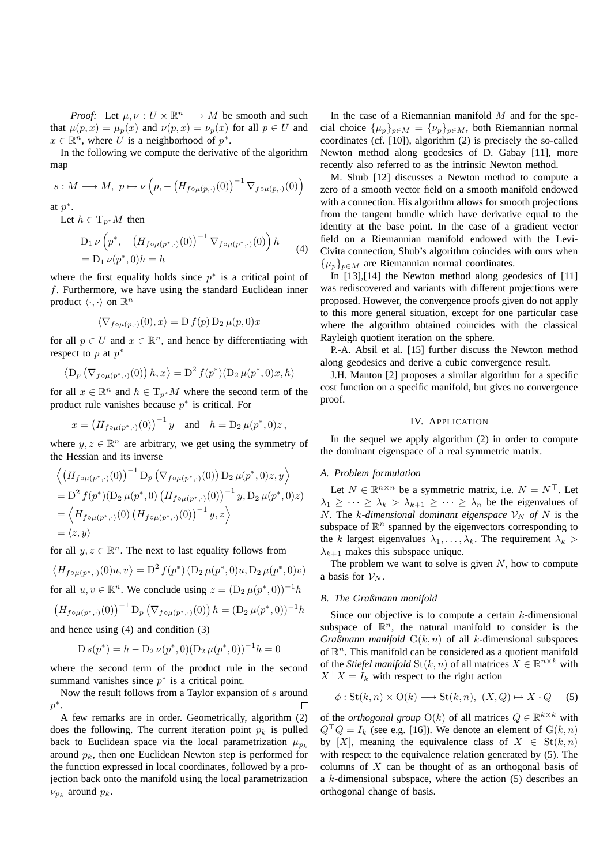*Proof:* Let  $\mu, \nu : U \times \mathbb{R}^n \longrightarrow M$  be smooth and such that  $\mu(p, x) = \mu_p(x)$  and  $\nu(p, x) = \nu_p(x)$  for all  $p \in U$  and  $x \in \mathbb{R}^n$ , where U is a neighborhood of  $p^*$ .

In the following we compute the derivative of the algorithm map

$$
s: M \longrightarrow M, \ p \mapsto \nu\left(p, -\left(H_{f \circ \mu(p,\cdot)}(0)\right)^{-1} \nabla_{f \circ \mu(p,\cdot)}(0)\right)
$$

at  $p^*$ .

Let  $h \in T_{p^*}M$  then

$$
D_1 \nu \left( p^*, - \left( H_{f \circ \mu(p^*, \cdot)}(0) \right)^{-1} \nabla_{f \circ \mu(p^*, \cdot)}(0) \right) h
$$
  
= 
$$
D_1 \nu(p^*, 0) h = h
$$
 (4)

where the first equality holds since  $p^*$  is a critical point of f. Furthermore, we have using the standard Euclidean inner product  $\langle \cdot, \cdot \rangle$  on  $\mathbb{R}^n$ 

$$
\langle \nabla_{f \circ \mu(p,\cdot)}(0), x \rangle = D f(p) D_2 \mu(p,0) x
$$

for all  $p \in U$  and  $x \in \mathbb{R}^n$ , and hence by differentiating with respect to p at  $p^*$ 

$$
\left\langle D_p\left(\nabla_{f\circ\mu(p^*,\cdot)}(0)\right)h,x\right\rangle = D^2 f(p^*)(D_2 \mu(p^*,0)x,h)
$$

for all  $x \in \mathbb{R}^n$  and  $h \in \mathrm{T}_{p^*}M$  where the second term of the product rule vanishes because  $p^*$  is critical. For

$$
x = (H_{f \circ \mu(p^*,.)}(0))^{-1} y
$$
 and  $h = D_2 \mu(p^*,0)z$ ,

where  $y, z \in \mathbb{R}^n$  are arbitrary, we get using the symmetry of the Hessian and its inverse

$$
\langle \left( H_{f \circ \mu(p^*,\cdot)}(0) \right)^{-1} D_p \left( \nabla_{f \circ \mu(p^*,\cdot)}(0) \right) D_2 \mu(p^*,0) z, y \rangle
$$
  
= D<sup>2</sup> f(p^\*)(D<sub>2</sub> \mu(p^\*,0) (H<sub>f \circ \mu(p^\*,\cdot)}(0))^{-1} y, D\_2 \mu(p^\*,0) z)  
= \langle H\_{f \circ \mu(p^\*,\cdot)}(0) (H\_{f \circ \mu(p^\*,\cdot)}(0))^{-1} y, z \rangle  
= \langle z, y \rangle</sub>

for all  $y, z \in \mathbb{R}^n$ . The next to last equality follows from

$$
\langle H_{f \circ \mu(p^*,\cdot)}(0)u, v \rangle = \mathcal{D}^2 f(p^*) \left( \mathcal{D}_2 \mu(p^*, 0)u, \mathcal{D}_2 \mu(p^*, 0)v \right)
$$
  
for all  $u, v \in \mathbb{R}^n$ . We conclude using  $z = (\mathcal{D}_2 \mu(p^*, 0))^{-1}h$ 

$$
\left(H_{f \circ \mu(p^*,\cdot)}(0)\right)^{-1} \mathcal{D}_p\left(\nabla_{f \circ \mu(p^*,\cdot)}(0)\right) h = (\mathcal{D}_2 \,\mu(p^*,0))^{-1} h
$$

and hence using (4) and condition (3)

$$
D s(p^*) = h - D_2 \nu(p^*, 0) (D_2 \mu(p^*, 0))^{-1} h = 0
$$

where the second term of the product rule in the second summand vanishes since  $p^*$  is a critical point.

Now the result follows from a Taylor expansion of s around  $p^*$ .

A few remarks are in order. Geometrically, algorithm (2) does the following. The current iteration point  $p_k$  is pulled back to Euclidean space via the local parametrization  $\mu_{p_k}$ around  $p_k$ , then one Euclidean Newton step is performed for the function expressed in local coordinates, followed by a projection back onto the manifold using the local parametrization  $\nu_{p_k}$  around  $p_k$ .

In the case of a Riemannian manifold  $M$  and for the special choice  $\{\mu_p\}_{p \in M} = {\{\nu_p\}}_{p \in M}$ , both Riemannian normal coordinates (cf. [10]), algorithm (2) is precisely the so-called Newton method along geodesics of D. Gabay [11], more recently also referred to as the intrinsic Newton method.

M. Shub [12] discusses a Newton method to compute a zero of a smooth vector field on a smooth manifold endowed with a connection. His algorithm allows for smooth projections from the tangent bundle which have derivative equal to the identity at the base point. In the case of a gradient vector field on a Riemannian manifold endowed with the Levi-Civita connection, Shub's algorithm coincides with ours when  $\{\mu_p\}_{p \in M}$  are Riemannian normal coordinates.

In [13],[14] the Newton method along geodesics of [11] was rediscovered and variants with different projections were proposed. However, the convergence proofs given do not apply to this more general situation, except for one particular case where the algorithm obtained coincides with the classical Rayleigh quotient iteration on the sphere.

P.-A. Absil et al. [15] further discuss the Newton method along geodesics and derive a cubic convergence result.

J.H. Manton [2] proposes a similar algorithm for a specific cost function on a specific manifold, but gives no convergence proof.

# IV. APPLICATION

In the sequel we apply algorithm (2) in order to compute the dominant eigenspace of a real symmetric matrix.

#### *A. Problem formulation*

Let  $N \in \mathbb{R}^{n \times n}$  be a symmetric matrix, i.e.  $N = N^{\top}$ . Let  $\lambda_1 \geq \cdots \geq \lambda_k > \lambda_{k+1} \geq \cdots \geq \lambda_n$  be the eigenvalues of N. The *k*-dimensional dominant eigenspace  $V_N$  of N is the subspace of  $\mathbb{R}^n$  spanned by the eigenvectors corresponding to the k largest eigenvalues  $\lambda_1, \ldots, \lambda_k$ . The requirement  $\lambda_k$  $\lambda_{k+1}$  makes this subspace unique.

The problem we want to solve is given  $N$ , how to compute a basis for  $\mathcal{V}_N$ .

## *B. The Graßmann manifold*

Since our objective is to compute a certain  $k$ -dimensional subspace of  $\mathbb{R}^n$ , the natural manifold to consider is the *Graßmann manifold*  $G(k, n)$  of all k-dimensional subspaces of  $\mathbb{R}^n$ . This manifold can be considered as a quotient manifold of the *Stiefel manifold*  $\text{St}(k, n)$  of all matrices  $X \in \mathbb{R}^{n \times k}$  with  $X^{\top} X = I_k$  with respect to the right action

$$
\phi: \operatorname{St}(k, n) \times \operatorname{O}(k) \longrightarrow \operatorname{St}(k, n), \ (X, Q) \mapsto X \cdot Q \tag{5}
$$

of the *orthogonal group*  $O(k)$  of all matrices  $Q \in \mathbb{R}^{k \times k}$  with  $Q^{\top}Q = I_k$  (see e.g. [16]). We denote an element of  $G(k, n)$ by [X], meaning the equivalence class of  $X \in St(k, n)$ with respect to the equivalence relation generated by (5). The columns of  $X$  can be thought of as an orthogonal basis of a  $k$ -dimensional subspace, where the action  $(5)$  describes an orthogonal change of basis.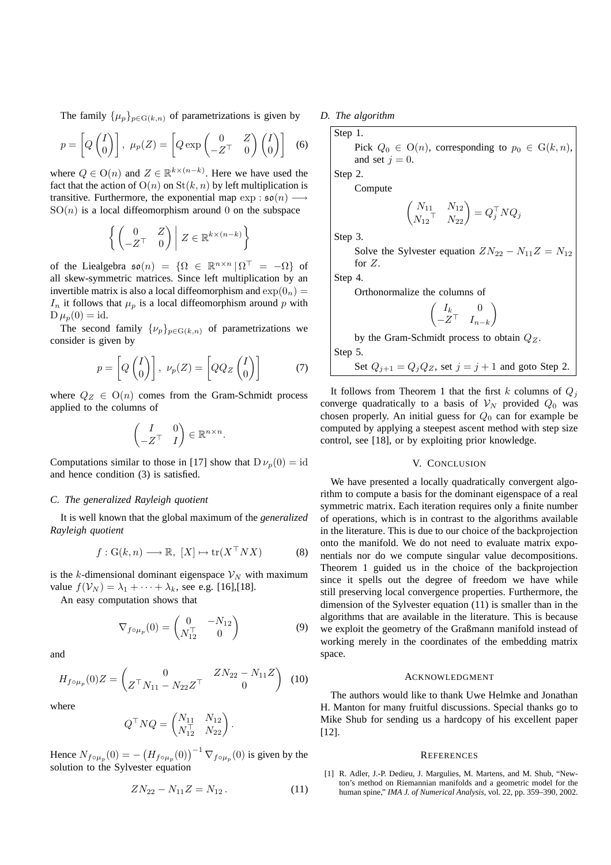The family  $\{\mu_p\}_{p \in G(k,n)}$  of parametrizations is given by

$$
p = \left[Q\begin{pmatrix}I\\0\end{pmatrix}\right], \ \mu_p(Z) = \left[Q \exp\begin{pmatrix}0 & Z\\-Z^{\top} & 0\end{pmatrix}\begin{pmatrix}I\\0\end{pmatrix}\right] \tag{6}
$$

where  $Q \in O(n)$  and  $Z \in \mathbb{R}^{k \times (n-k)}$ . Here we have used the fact that the action of  $O(n)$  on  $St(k, n)$  by left multiplication is transitive. Furthermore, the exponential map  $\exp : \mathfrak{so}(n) \longrightarrow$  $SO(n)$  is a local diffeomorphism around 0 on the subspace

$$
\left\{ \begin{pmatrix} 0 & Z \\ -Z^\top & 0 \end{pmatrix} \middle| Z \in \mathbb{R}^{k \times (n-k)} \right\}
$$

of the Lie algebra  $\mathfrak{so}(n) = \{ \Omega \in \mathbb{R}^{n \times n} | \Omega^{\top} = -\Omega \}$  of all skew-symmetric matrices. Since left multiplication by an invertible matrix is also a local diffeomorphism and  $\exp(0_n)$  =  $I_n$  it follows that  $\mu_p$  is a local diffeomorphism around p with  $D \mu_p(0) = id.$ 

The second family  $\{\nu_p\}_{p \in G(k,n)}$  of parametrizations we consider is given by

$$
p = \left[ Q \begin{pmatrix} I \\ 0 \end{pmatrix} \right], \nu_p(Z) = \left[ QQ_Z \begin{pmatrix} I \\ 0 \end{pmatrix} \right] \tag{7}
$$

.

where  $Q_Z \in O(n)$  comes from the Gram-Schmidt process applied to the columns of

$$
\begin{pmatrix} I & 0 \\ -Z^\top & I \end{pmatrix} \in \mathbb{R}^{n \times n}
$$

Computations similar to those in [17] show that  $D \nu_p(0) = id$ and hence condition (3) is satisfied.

#### *C. The generalized Rayleigh quotient*

It is well known that the global maximum of the *generalized Rayleigh quotient*

$$
f: G(k, n) \longrightarrow \mathbb{R}, [X] \mapsto \text{tr}(X^{\top} N X)
$$
 (8)

is the k-dimensional dominant eigenspace  $\mathcal{V}_N$  with maximum value  $f(V_N) = \lambda_1 + \cdots + \lambda_k$ , see e.g. [16],[18].

An easy computation shows that

$$
\nabla_{f \circ \mu_p}(0) = \begin{pmatrix} 0 & -N_{12} \\ N_{12}^{\top} & 0 \end{pmatrix}
$$
 (9)

and

$$
H_{f \circ \mu_p}(0) Z = \begin{pmatrix} 0 & ZN_{22} - N_{11}Z \\ Z^\top N_{11} - N_{22}Z^\top & 0 \end{pmatrix} (10)
$$

where

$$
Q^{\top} N Q = \begin{pmatrix} N_{11} & N_{12} \\ N_{12}^{\top} & N_{22} \end{pmatrix}.
$$

Hence  $N_{f \circ \mu_p}(0) = - (H_{f \circ \mu_p}(0))^{-1} \nabla_{f \circ \mu_p}(0)$  is given by the solution to the Sylvester equation

$$
ZN_{22} - N_{11}Z = N_{12}. \t\t(11)
$$

*D. The algorithm*

Step 1.   
 Pick 
$$
Q_0 \in O(n)
$$
, corresponding to  $p_0 \in G(k, n)$ , and set  $j = 0$ .

Step 2.

Compute

$$
\begin{pmatrix} N_{11} & N_{12} \\ N_{12} & N_{22} \end{pmatrix} = Q_j^\top N Q_j
$$

Step 3.

Solve the Sylvester equation  $ZN_{22} - N_{11}Z = N_{12}$ for Z.

Step 4.

Orthonormalize the columns of

$$
\begin{pmatrix} I_k & 0 \\ -Z^\top & I_{n-k} \end{pmatrix}
$$

by the Gram-Schmidt process to obtain  $Q_Z$ . Step 5.

Set 
$$
Q_{j+1} = Q_j Q_Z
$$
, set  $j = j + 1$  and goto Step 2.

It follows from Theorem 1 that the first k columns of  $Q_i$ converge quadratically to a basis of  $V_N$  provided  $Q_0$  was chosen properly. An initial guess for  $Q_0$  can for example be computed by applying a steepest ascent method with step size control, see [18], or by exploiting prior knowledge.

#### V. CONCLUSION

We have presented a locally quadratically convergent algorithm to compute a basis for the dominant eigenspace of a real symmetric matrix. Each iteration requires only a finite number of operations, which is in contrast to the algorithms available in the literature. This is due to our choice of the backprojection onto the manifold. We do not need to evaluate matrix exponentials nor do we compute singular value decompositions. Theorem 1 guided us in the choice of the backprojection since it spells out the degree of freedom we have while still preserving local convergence properties. Furthermore, the dimension of the Sylvester equation (11) is smaller than in the algorithms that are available in the literature. This is because we exploit the geometry of the Graßmann manifold instead of working merely in the coordinates of the embedding matrix space.

#### ACKNOWLEDGMENT

The authors would like to thank Uwe Helmke and Jonathan H. Manton for many fruitful discussions. Special thanks go to Mike Shub for sending us a hardcopy of his excellent paper  $[12]$ .

#### **REFERENCES**

[1] R. Adler, J.-P. Dedieu, J. Margulies, M. Martens, and M. Shub, "Newton's method on Riemannian manifolds and a geometric model for the human spine," *IMA J. of Numerical Analysis*, vol. 22, pp. 359–390, 2002.